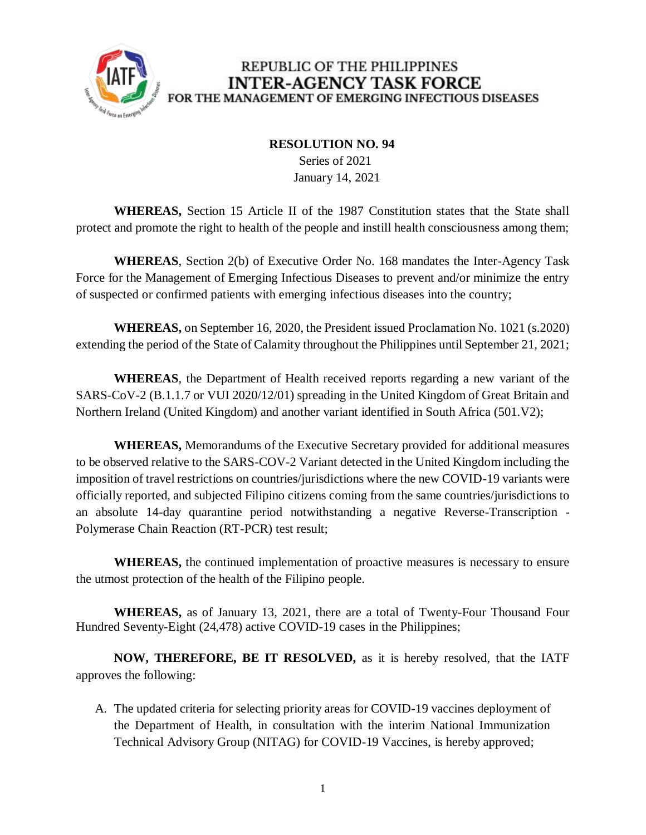

#### **RESOLUTION NO. 94**

 Series of 2021 January 14, 2021

**WHEREAS,** Section 15 Article II of the 1987 Constitution states that the State shall protect and promote the right to health of the people and instill health consciousness among them;

**WHEREAS**, Section 2(b) of Executive Order No. 168 mandates the Inter-Agency Task Force for the Management of Emerging Infectious Diseases to prevent and/or minimize the entry of suspected or confirmed patients with emerging infectious diseases into the country;

**WHEREAS,** on September 16, 2020, the President issued Proclamation No. 1021 (s.2020) extending the period of the State of Calamity throughout the Philippines until September 21, 2021;

**WHEREAS**, the Department of Health received reports regarding a new variant of the SARS-CoV-2 (B.1.1.7 or VUI 2020/12/01) spreading in the United Kingdom of Great Britain and Northern Ireland (United Kingdom) and another variant identified in South Africa (501.V2);

**WHEREAS,** Memorandums of the Executive Secretary provided for additional measures to be observed relative to the SARS-COV-2 Variant detected in the United Kingdom including the imposition of travel restrictions on countries/jurisdictions where the new COVID-19 variants were officially reported, and subjected Filipino citizens coming from the same countries/jurisdictions to an absolute 14-day quarantine period notwithstanding a negative Reverse-Transcription - Polymerase Chain Reaction (RT-PCR) test result;

**WHEREAS,** the continued implementation of proactive measures is necessary to ensure the utmost protection of the health of the Filipino people.

**WHEREAS,** as of January 13, 2021, there are a total of Twenty-Four Thousand Four Hundred Seventy-Eight (24,478) active COVID-19 cases in the Philippines;

**NOW, THEREFORE, BE IT RESOLVED,** as it is hereby resolved, that the IATF approves the following:

A. The updated criteria for selecting priority areas for COVID-19 vaccines deployment of the Department of Health, in consultation with the interim National Immunization Technical Advisory Group (NITAG) for COVID-19 Vaccines, is hereby approved;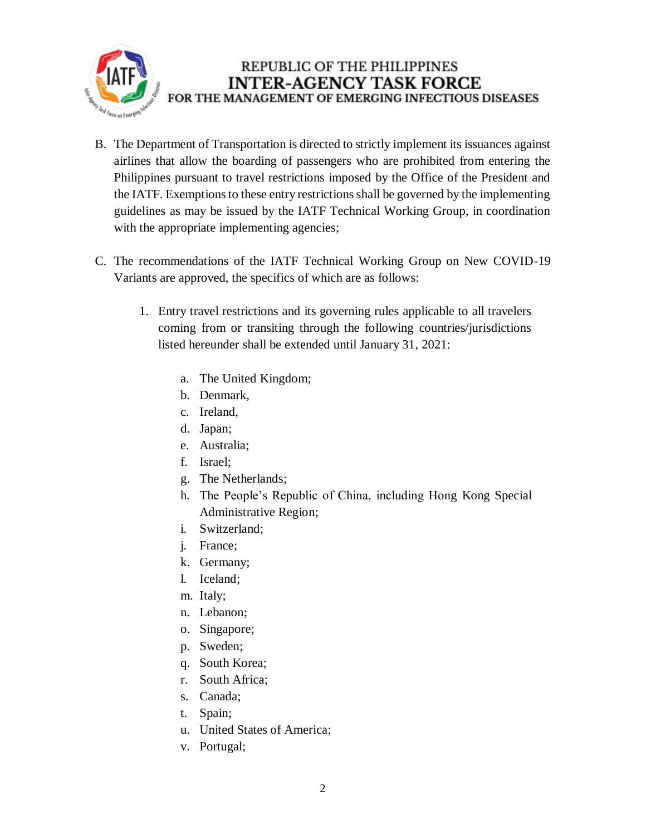

- B. The Department of Transportation is directed to strictly implement its issuances against airlines that allow the boarding of passengers who are prohibited from entering the Philippines pursuant to travel restrictions imposed by the Office of the President and the IATF. Exemptions to these entry restrictions shall be governed by the implementing guidelines as may be issued by the IATF Technical Working Group, in coordination with the appropriate implementing agencies;
- C. The recommendations of the IATF Technical Working Group on New COVID-19 Variants are approved, the specifics of which are as follows:
	- 1. Entry travel restrictions and its governing rules applicable to all travelers coming from or transiting through the following countries/jurisdictions listed hereunder shall be extended until January 31, 2021:
		- a. The United Kingdom;
		- b. Denmark,
		- c. Ireland,
		- d. Japan;
		- e. Australia;
		- f. Israel;
		- g. The Netherlands;
		- h. The People's Republic of China, including Hong Kong Special Administrative Region;
		- i. Switzerland;
		- j. France;
		- k. Germany;
		- l. Iceland;
		- m. Italy;
		- n. Lebanon;
		- o. Singapore;
		- p. Sweden;
		- q. South Korea;
		- r. South Africa;
		- s. Canada;
		- t. Spain;
		- u. United States of America;
		- v. Portugal;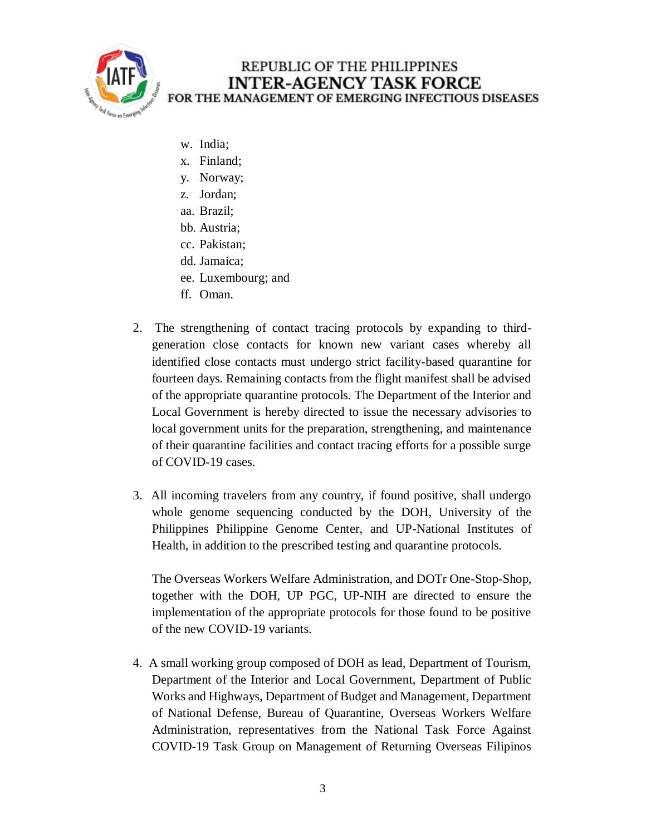

- w. India;
- x. Finland;
- y. Norway;
- z. Jordan;
- aa. Brazil;
- bb. Austria;
- cc. Pakistan;
- dd. Jamaica;
- ee. Luxembourg; and
- ff. Oman.
- 2. The strengthening of contact tracing protocols by expanding to thirdgeneration close contacts for known new variant cases whereby all identified close contacts must undergo strict facility-based quarantine for fourteen days. Remaining contacts from the flight manifest shall be advised of the appropriate quarantine protocols. The Department of the Interior and Local Government is hereby directed to issue the necessary advisories to local government units for the preparation, strengthening, and maintenance of their quarantine facilities and contact tracing efforts for a possible surge of COVID-19 cases.
- 3. All incoming travelers from any country, if found positive, shall undergo whole genome sequencing conducted by the DOH, University of the Philippines Philippine Genome Center, and UP-National Institutes of Health, in addition to the prescribed testing and quarantine protocols.

The Overseas Workers Welfare Administration, and DOTr One-Stop-Shop, together with the DOH, UP PGC, UP-NIH are directed to ensure the implementation of the appropriate protocols for those found to be positive of the new COVID-19 variants.

4. A small working group composed of DOH as lead, Department of Tourism, Department of the Interior and Local Government, Department of Public Works and Highways, Department of Budget and Management, Department of National Defense, Bureau of Quarantine, Overseas Workers Welfare Administration, representatives from the National Task Force Against COVID-19 Task Group on Management of Returning Overseas Filipinos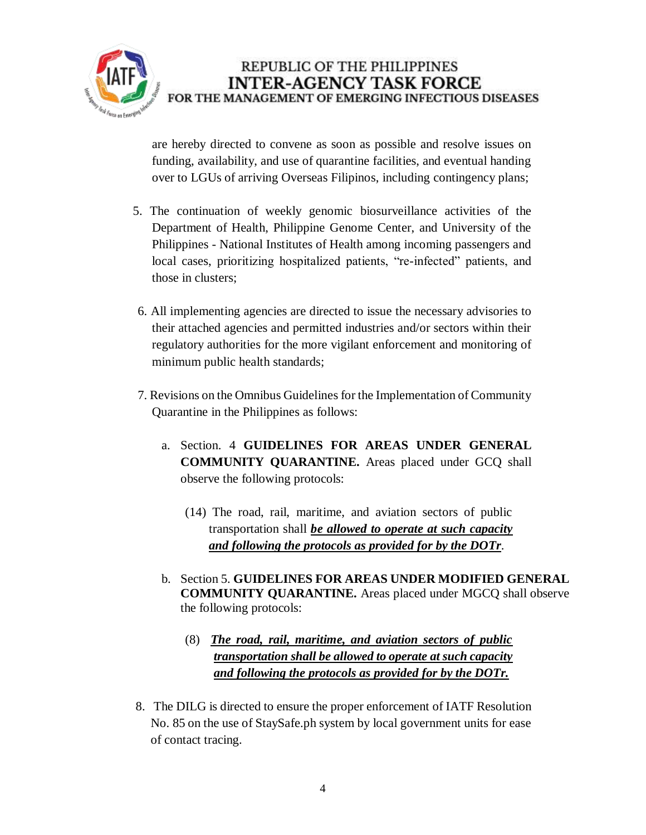

are hereby directed to convene as soon as possible and resolve issues on funding, availability, and use of quarantine facilities, and eventual handing over to LGUs of arriving Overseas Filipinos, including contingency plans;

- 5. The continuation of weekly genomic biosurveillance activities of the Department of Health, Philippine Genome Center, and University of the Philippines - National Institutes of Health among incoming passengers and local cases, prioritizing hospitalized patients, "re-infected" patients, and those in clusters;
- 6. All implementing agencies are directed to issue the necessary advisories to their attached agencies and permitted industries and/or sectors within their regulatory authorities for the more vigilant enforcement and monitoring of minimum public health standards;
- 7. Revisions on the Omnibus Guidelines for the Implementation of Community Quarantine in the Philippines as follows:
	- a. Section. 4 **GUIDELINES FOR AREAS UNDER GENERAL COMMUNITY QUARANTINE.** Areas placed under GCQ shall observe the following protocols:
		- (14) The road, rail, maritime, and aviation sectors of public transportation shall *be allowed to operate at such capacity and following the protocols as provided for by the DOTr*.
	- b. Section 5. **GUIDELINES FOR AREAS UNDER MODIFIED GENERAL COMMUNITY QUARANTINE.** Areas placed under MGCQ shall observe the following protocols:
		- (8) *The road, rail, maritime, and aviation sectors of public transportation shall be allowed to operate at such capacity and following the protocols as provided for by the DOTr.*
- 8. The DILG is directed to ensure the proper enforcement of IATF Resolution No. 85 on the use of StaySafe.ph system by local government units for ease of contact tracing.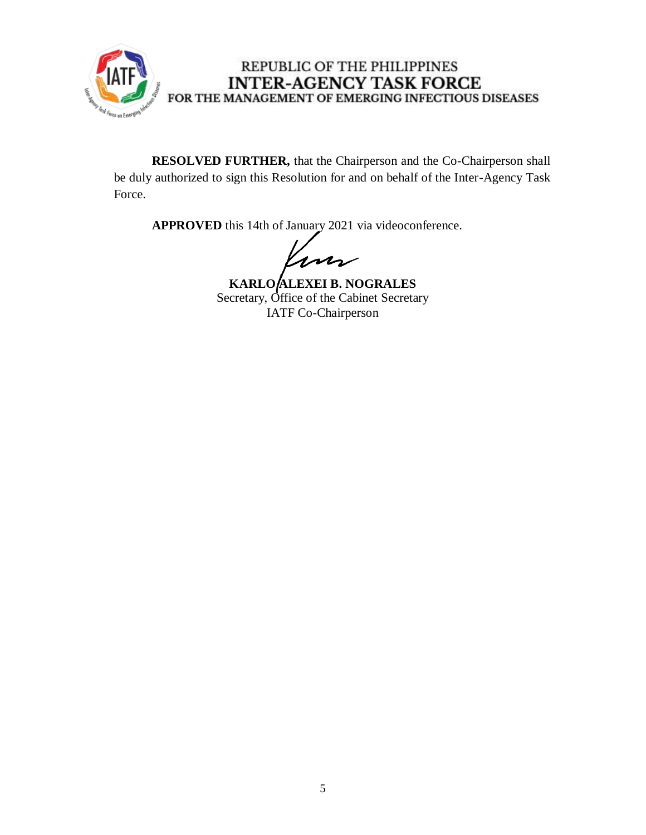

**RESOLVED FURTHER,** that the Chairperson and the Co-Chairperson shall be duly authorized to sign this Resolution for and on behalf of the Inter-Agency Task Force.

**APPROVED** this 14th of January 2021 via videoconference.

ns

**KARLO ALEXEI B. NOGRALES** Secretary, Office of the Cabinet Secretary IATF Co-Chairperson